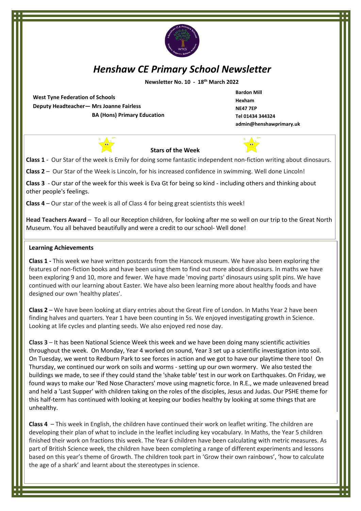

# *Henshaw CE Primary School Newsletter*

 **Newsletter No. 10 - 18 th March 2022**

**West Tyne Federation of Schools Deputy Headteacher— Mrs Joanne Fairless BA (Hons) Primary Education**

**Bardon Mill Hexham NE47 7EP Tel 01434 344324 admin@henshawprimary.uk**



 **Stars of the Week** 



**Class 1** - Our Star of the week is Emily for doing some fantastic independent non-fiction writing about dinosaurs.

**Class 2** – Our Star of the Week is Lincoln, for his increased confidence in swimming. Well done Lincoln!

**Class 3** - Our star of the week for this week is Eva Gt for being so kind - including others and thinking about other people's feelings.

**Class 4** – Our star of the week is all of Class 4 for being great scientists this week!

**Head Teachers Award** – To all our Reception children, for looking after me so well on our trip to the Great North Museum. You all behaved beautifully and were a credit to our school- Well done!

#### **Learning Achievements**

**Class 1 -** This week we have written postcards from the Hancock museum. We have also been exploring the features of non-fiction books and have been using them to find out more about dinosaurs. In maths we have been exploring 9 and 10, more and fewer. We have made 'moving parts' dinosaurs using split pins. We have continued with our learning about Easter. We have also been learning more about healthy foods and have designed our own 'healthy plates'.

**Class 2** – We have been looking at diary entries about the Great Fire of London. In Maths Year 2 have been finding halves and quarters. Year 1 have been counting in 5s. We enjoyed investigating growth in Science. Looking at life cycles and planting seeds. We also enjoyed red nose day.

**Class 3** – It has been National Science Week this week and we have been doing many scientific activities throughout the week. On Monday, Year 4 worked on sound, Year 3 set up a scientific investigation into soil. On Tuesday, we went to Redburn Park to see forces in action and we got to have our playtime there too! On Thursday, we continued our work on soils and worms - setting up our own wormery. We also tested the buildings we made, to see if they could stand the 'shake table' test in our work on Earthquakes. On Friday, we found ways to make our 'Red Nose Characters' move using magnetic force. In R.E., we made unleavened bread and held a 'Last Supper' with children taking on the roles of the disciples, Jesus and Judas. Our PSHE theme for this half-term has continued with looking at keeping our bodies healthy by looking at some things that are unhealthy.

**Class 4** – This week in English, the children have continued their work on leaflet writing. The children are developing their plan of what to include in the leaflet including key vocabulary. In Maths, the Year 5 children finished their work on fractions this week. The Year 6 children have been calculating with metric measures. As part of British Science week, the children have been completing a range of different experiments and lessons based on this year's theme of Growth. The children took part in 'Grow their own rainbows', 'how to calculate the age of a shark' and learnt about the stereotypes in science.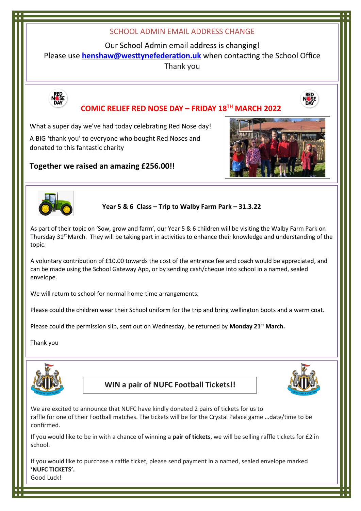### SCHOOL ADMIN EMAIL ADDRESS CHANGE

Our School Admin email address is changing!

Please use **[henshaw@westtynefederation.uk](mailto:henshaw@westtynefederation.uk)** when contacting the School Office

Thank you



## **COMIC RELIEF RED NOSE DAY – FRIDAY 18TH MARCH 2022**

What a super day we've had today celebrating Red Nose day!

A BIG 'thank you' to everyone who bought Red Noses and donated to this fantastic charity







### **Year 5 & 6 Class – Trip to Walby Farm Park – 31.3.22**

As part of their topic on 'Sow, grow and farm', our Year 5 & 6 children will be visiting the Walby Farm Park on Thursday 31<sup>st</sup> March. They will be taking part in activities to enhance their knowledge and understanding of the topic.

A voluntary contribution of £10.00 towards the cost of the entrance fee and coach would be appreciated, and can be made using the School Gateway App, or by sending cash/cheque into school in a named, sealed envelope.

We will return to school for normal home-time arrangements.

Please could the children wear their School uniform for the trip and bring wellington boots and a warm coat.

Please could the permission slip, sent out on Wednesday, be returned by **Monday 21st March.**

Thank you



**WIN a pair of NUFC Football Tickets!!**



We are excited to announce that NUFC have kindly donated 2 pairs of tickets for us to raffle for one of their Football matches. The tickets will be for the Crystal Palace game …date/time to be confirmed.

If you would like to be in with a chance of winning a **pair of tickets**, we will be selling raffle tickets for £2 in school.

If you would like to purchase a raffle ticket, please send payment in a named, sealed envelope marked **'NUFC TICKETS'.**  Good Luck!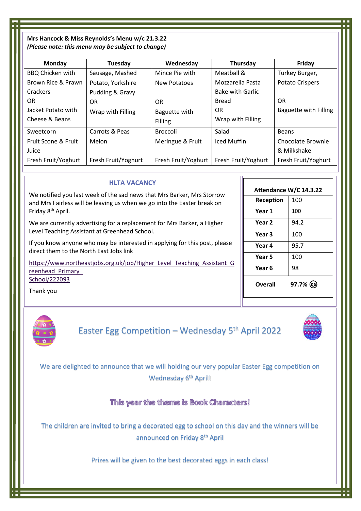#### **Mrs Hancock & Miss Reynolds's Menu w/c 21.3.22** *(Please note: this menu may be subject to change)*

| Monday                  | Tuesday             | Wednesday           | Thursday            | Friday                 |
|-------------------------|---------------------|---------------------|---------------------|------------------------|
| <b>BBQ Chicken with</b> | Sausage, Mashed     | Mince Pie with      | Meathall &          | Turkey Burger,         |
| Brown Rice & Prawn      | Potato, Yorkshire   | New Potatoes        | Mozzarella Pasta    | <b>Potato Crispers</b> |
| Crackers                | Pudding & Gravy     |                     | Bake with Garlic    |                        |
| <b>OR</b>               | OR                  | OR                  | Bread               | <b>OR</b>              |
| Jacket Potato with      | Wrap with Filling   | Baguette with       | OR                  | Baguette with Filling  |
| Cheese & Beans          |                     | <b>Filling</b>      | Wrap with Filling   |                        |
| Sweetcorn               | Carrots & Peas      | <b>Broccoli</b>     | Salad               | Beans                  |
| Fruit Scone & Fruit     | Melon               | Meringue & Fruit    | Iced Muffin         | Chocolate Brownie      |
| Juice                   |                     |                     |                     | & Milkshake            |
| Fresh Fruit/Yoghurt     | Fresh Fruit/Yoghurt | Fresh Fruit/Yoghurt | Fresh Fruit/Yoghurt | Fresh Fruit/Yoghurt    |

#### **HLTA VACANCY**

#### We notified you last week of the sad news that Mrs Barker, Mrs Storrow and Mrs Fairless will be leaving us when we go into the Easter break on Friday 8<sup>th</sup> April.

We are currently advertising for a replacement for Mrs Barker, a Higher Level Teaching Assistant at Greenhead School.

If you know anyone who may be interested in applying for this post, please direct them to the North East Jobs link

[https://www.northeastjobs.org.uk/job/Higher\\_Level\\_Teaching\\_Assistant\\_G](https://www.northeastjobs.org.uk/job/Higher_Level_Teaching_Assistant_Greenhead_Primary_School/222093) [reenhead\\_Primary\\_](https://www.northeastjobs.org.uk/job/Higher_Level_Teaching_Assistant_Greenhead_Primary_School/222093) [School/222093](https://www.northeastjobs.org.uk/job/Higher_Level_Teaching_Assistant_Greenhead_Primary_School/222093)

**Overall 97.7%** 

**Attendance W/C 14.3.22**

**Reception** 100 **Year 1** 100 **Year 2** 94.2 **Year 3** 100 **Year 4** 95.7 **Year 5** 100 **Year 6** 98

Thank you



Easter Egg Competition - Wednesday 5<sup>th</sup> April 2022



We are delighted to announce that we will holding our very popular Easter Egg competition on Wednesday 6<sup>th</sup> April!

This year the theme is Book Characters!

The children are invited to bring a decorated egg to school on this day and the winners will be announced on Friday 8th April

Prizes will be given to the best decorated eggs in each class!